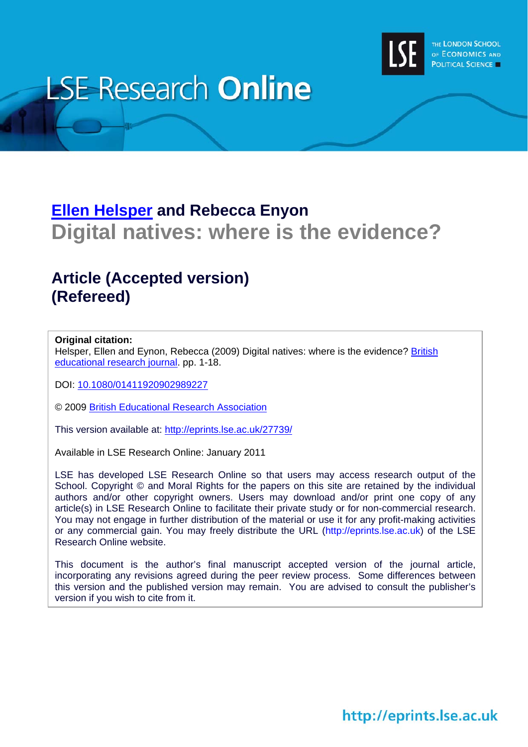

# **LSE Research Online**

# **[Ellen Helsper](http://www2.lse.ac.uk/researchAndExpertise/Experts/profile.aspx?KeyValue=e.j.helsper@lse.ac.uk) and Rebecca Enyon Digital natives: where is the evidence?**

# **Article (Accepted version) (Refereed)**

## **Original citation:**

Helsper, Ellen and Eynon, Rebecca (2009) Digital natives: where is the evidence? British [educational research journal](http://www.tandf.co.uk/journals/carfax/01411926.html). pp. 1-18.

DOI: [10.1080/01411920902989227](http://dx.doi.org/10.1080/01411920902989227)

© 2009 [British Educational Research Association](http://www.bera.ac.uk/)

This version available at: <http://eprints.lse.ac.uk/27739/>

Available in LSE Research Online: January 2011

LSE has developed LSE Research Online so that users may access research output of the School. Copyright © and Moral Rights for the papers on this site are retained by the individual authors and/or other copyright owners. Users may download and/or print one copy of any article(s) in LSE Research Online to facilitate their private study or for non-commercial research. You may not engage in further distribution of the material or use it for any profit-making activities or any commercial gain. You may freely distribute the URL (http://eprints.lse.ac.uk) of the LSE Research Online website.

This document is the author's final manuscript accepted version of the journal article, incorporating any revisions agreed during the peer review process. Some differences between this version and the published version may remain. You are advised to consult the publisher's version if you wish to cite from it.

http://eprints.lse.ac.uk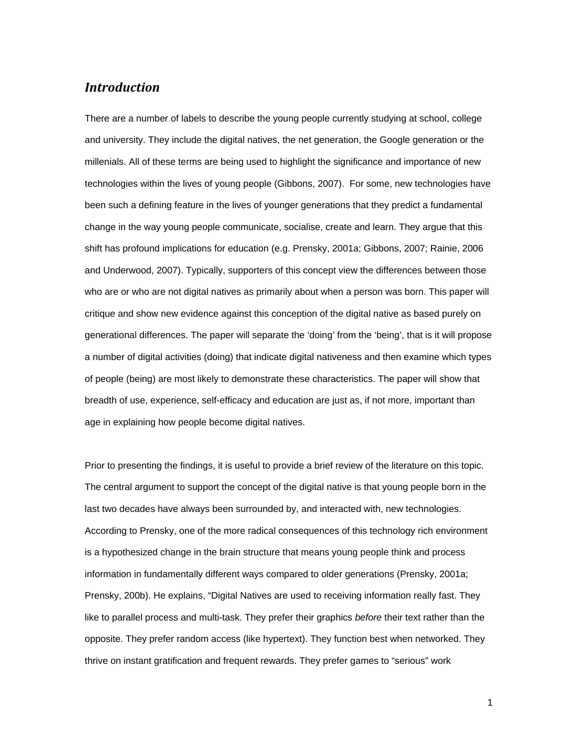# *Introduction*

There are a number of labels to describe the young people currently studying at school, college and university. They include the digital natives, the net generation, the Google generation or the millenials. All of these terms are being used to highlight the significance and importance of new technologies within the lives of young people (Gibbons, 2007). For some, new technologies have been such a defining feature in the lives of younger generations that they predict a fundamental change in the way young people communicate, socialise, create and learn. They argue that this shift has profound implications for education (e.g. Prensky, 2001a; Gibbons, 2007; Rainie, 2006 and Underwood, 2007). Typically, supporters of this concept view the differences between those who are or who are not digital natives as primarily about when a person was born. This paper will critique and show new evidence against this conception of the digital native as based purely on generational differences. The paper will separate the 'doing' from the 'being', that is it will propose a number of digital activities (doing) that indicate digital nativeness and then examine which types of people (being) are most likely to demonstrate these characteristics. The paper will show that breadth of use, experience, self-efficacy and education are just as, if not more, important than age in explaining how people become digital natives.

Prior to presenting the findings, it is useful to provide a brief review of the literature on this topic. The central argument to support the concept of the digital native is that young people born in the last two decades have always been surrounded by, and interacted with, new technologies. According to Prensky, one of the more radical consequences of this technology rich environment is a hypothesized change in the brain structure that means young people think and process information in fundamentally different ways compared to older generations (Prensky, 2001a; Prensky, 200b). He explains, "Digital Natives are used to receiving information really fast. They like to parallel process and multi-task. They prefer their graphics *before* their text rather than the opposite. They prefer random access (like hypertext). They function best when networked. They thrive on instant gratification and frequent rewards. They prefer games to "serious" work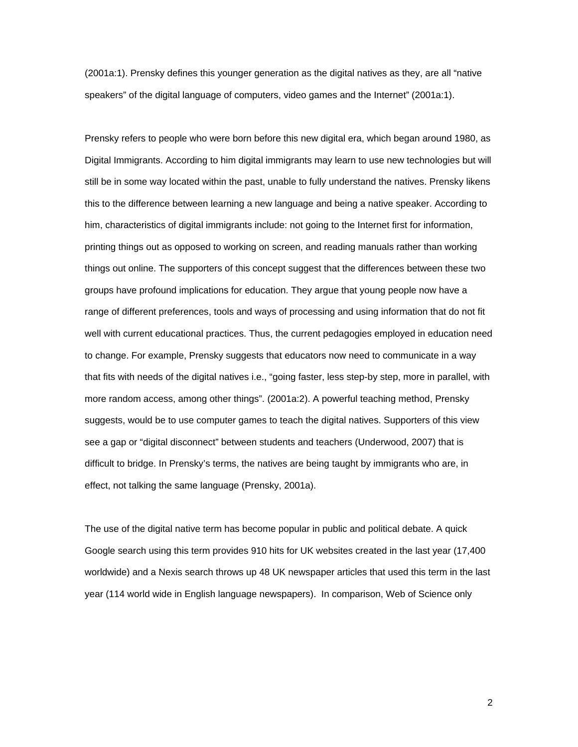(2001a:1). Prensky defines this younger generation as the digital natives as they, are all "native speakers" of the digital language of computers, video games and the Internet" (2001a:1).

Prensky refers to people who were born before this new digital era, which began around 1980, as Digital Immigrants. According to him digital immigrants may learn to use new technologies but will still be in some way located within the past, unable to fully understand the natives. Prensky likens this to the difference between learning a new language and being a native speaker. According to him, characteristics of digital immigrants include: not going to the Internet first for information, printing things out as opposed to working on screen, and reading manuals rather than working things out online. The supporters of this concept suggest that the differences between these two groups have profound implications for education. They argue that young people now have a range of different preferences, tools and ways of processing and using information that do not fit well with current educational practices. Thus, the current pedagogies employed in education need to change. For example, Prensky suggests that educators now need to communicate in a way that fits with needs of the digital natives i.e., "going faster, less step-by step, more in parallel, with more random access, among other things". (2001a:2). A powerful teaching method, Prensky suggests, would be to use computer games to teach the digital natives. Supporters of this view see a gap or "digital disconnect" between students and teachers (Underwood, 2007) that is difficult to bridge. In Prensky's terms, the natives are being taught by immigrants who are, in effect, not talking the same language (Prensky, 2001a).

The use of the digital native term has become popular in public and political debate. A quick Google search using this term provides 910 hits for UK websites created in the last year (17,400 worldwide) and a Nexis search throws up 48 UK newspaper articles that used this term in the last year (114 world wide in English language newspapers). In comparison, Web of Science only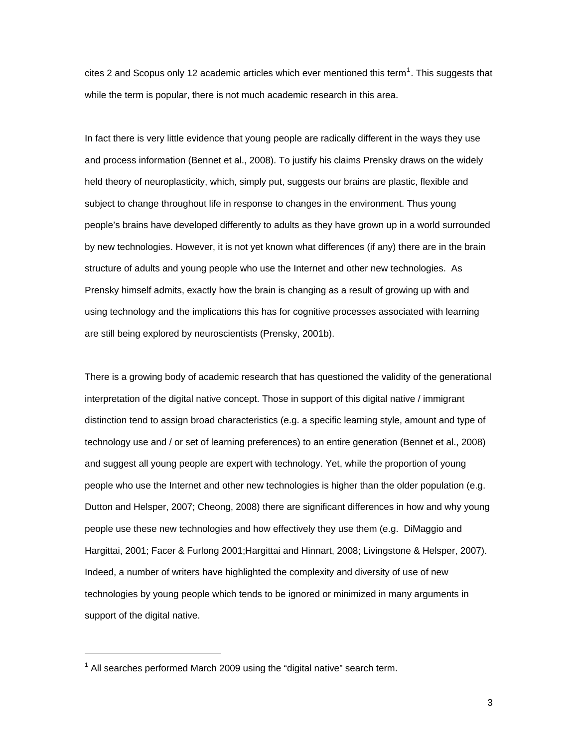cites 2 and Scopus only [1](#page-3-0)2 academic articles which ever mentioned this term<sup>1</sup>. This suggests that while the term is popular, there is not much academic research in this area.

In fact there is very little evidence that young people are radically different in the ways they use and process information (Bennet et al., 2008). To justify his claims Prensky draws on the widely held theory of neuroplasticity, which, simply put, suggests our brains are plastic, flexible and subject to change throughout life in response to changes in the environment. Thus young people's brains have developed differently to adults as they have grown up in a world surrounded by new technologies. However, it is not yet known what differences (if any) there are in the brain structure of adults and young people who use the Internet and other new technologies. As Prensky himself admits, exactly how the brain is changing as a result of growing up with and using technology and the implications this has for cognitive processes associated with learning are still being explored by neuroscientists (Prensky, 2001b).

There is a growing body of academic research that has questioned the validity of the generational interpretation of the digital native concept. Those in support of this digital native / immigrant distinction tend to assign broad characteristics (e.g. a specific learning style, amount and type of technology use and / or set of learning preferences) to an entire generation (Bennet et al., 2008) and suggest all young people are expert with technology. Yet, while the proportion of young people who use the Internet and other new technologies is higher than the older population (e.g. Dutton and Helsper, 2007; Cheong, 2008) there are significant differences in how and why young people use these new technologies and how effectively they use them (e.g. DiMaggio and Hargittai, 2001; Facer & Furlong 2001;Hargittai and Hinnart, 2008; Livingstone & Helsper, 2007). Indeed, a number of writers have highlighted the complexity and diversity of use of new technologies by young people which tends to be ignored or minimized in many arguments in support of the digital native.

l

<span id="page-3-0"></span> $1$  All searches performed March 2009 using the "digital native" search term.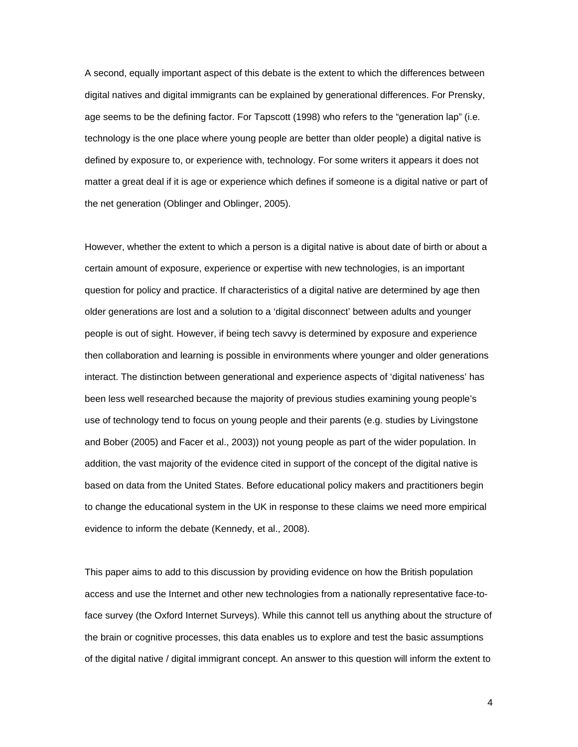A second, equally important aspect of this debate is the extent to which the differences between digital natives and digital immigrants can be explained by generational differences. For Prensky, age seems to be the defining factor. For Tapscott (1998) who refers to the "generation lap" (i.e. technology is the one place where young people are better than older people) a digital native is defined by exposure to, or experience with, technology. For some writers it appears it does not matter a great deal if it is age or experience which defines if someone is a digital native or part of the net generation (Oblinger and Oblinger, 2005).

However, whether the extent to which a person is a digital native is about date of birth or about a certain amount of exposure, experience or expertise with new technologies, is an important question for policy and practice. If characteristics of a digital native are determined by age then older generations are lost and a solution to a 'digital disconnect' between adults and younger people is out of sight. However, if being tech savvy is determined by exposure and experience then collaboration and learning is possible in environments where younger and older generations interact. The distinction between generational and experience aspects of 'digital nativeness' has been less well researched because the majority of previous studies examining young people's use of technology tend to focus on young people and their parents (e.g. studies by Livingstone and Bober (2005) and Facer et al., 2003)) not young people as part of the wider population. In addition, the vast majority of the evidence cited in support of the concept of the digital native is based on data from the United States. Before educational policy makers and practitioners begin to change the educational system in the UK in response to these claims we need more empirical evidence to inform the debate (Kennedy, et al., 2008).

This paper aims to add to this discussion by providing evidence on how the British population access and use the Internet and other new technologies from a nationally representative face-toface survey (the Oxford Internet Surveys). While this cannot tell us anything about the structure of the brain or cognitive processes, this data enables us to explore and test the basic assumptions of the digital native / digital immigrant concept. An answer to this question will inform the extent to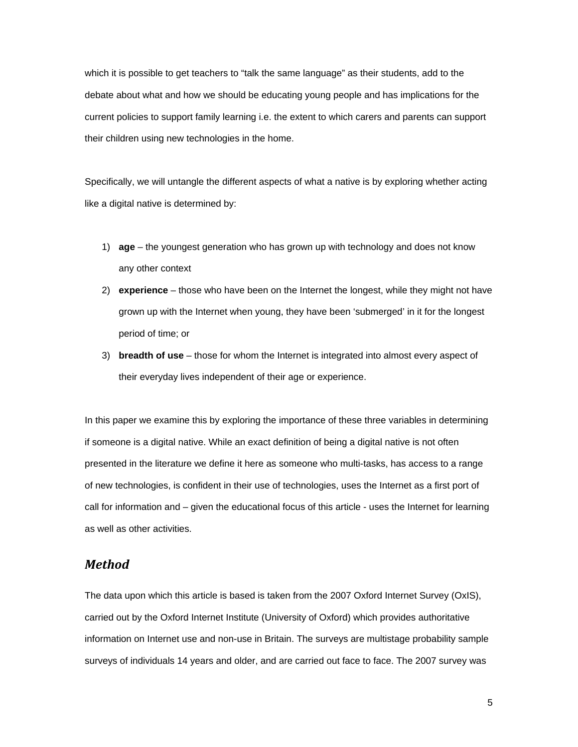which it is possible to get teachers to "talk the same language" as their students, add to the debate about what and how we should be educating young people and has implications for the current policies to support family learning i.e. the extent to which carers and parents can support their children using new technologies in the home.

Specifically, we will untangle the different aspects of what a native is by exploring whether acting like a digital native is determined by:

- 1) **age** the youngest generation who has grown up with technology and does not know any other context
- 2) **experience** those who have been on the Internet the longest, while they might not have grown up with the Internet when young, they have been 'submerged' in it for the longest period of time; or
- 3) **breadth of use** those for whom the Internet is integrated into almost every aspect of their everyday lives independent of their age or experience.

In this paper we examine this by exploring the importance of these three variables in determining if someone is a digital native. While an exact definition of being a digital native is not often presented in the literature we define it here as someone who multi-tasks, has access to a range of new technologies, is confident in their use of technologies, uses the Internet as a first port of call for information and – given the educational focus of this article - uses the Internet for learning as well as other activities.

# *Method*

The data upon which this article is based is taken from the 2007 Oxford Internet Survey (OxIS), carried out by the Oxford Internet Institute (University of Oxford) which provides authoritative information on Internet use and non-use in Britain. The surveys are multistage probability sample surveys of individuals 14 years and older, and are carried out face to face. The 2007 survey was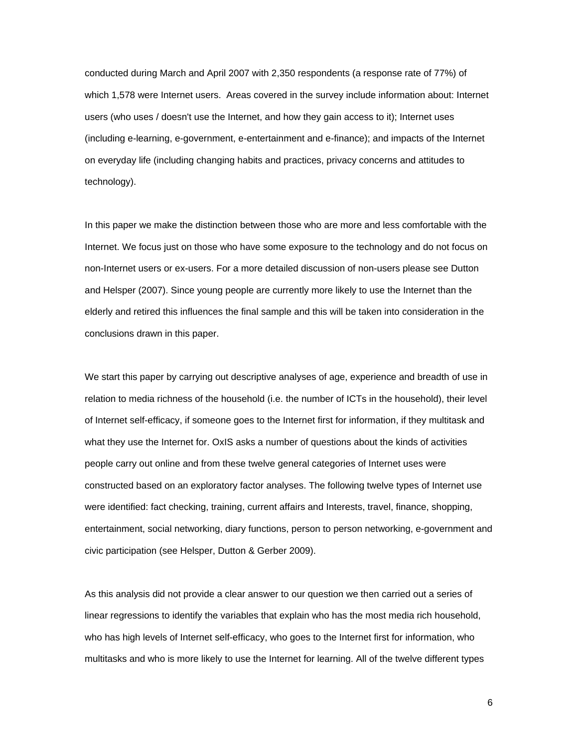conducted during March and April 2007 with 2,350 respondents (a response rate of 77%) of which 1,578 were Internet users. Areas covered in the survey include information about: Internet users (who uses / doesn't use the Internet, and how they gain access to it); Internet uses (including e-learning, e-government, e-entertainment and e-finance); and impacts of the Internet on everyday life (including changing habits and practices, privacy concerns and attitudes to technology).

In this paper we make the distinction between those who are more and less comfortable with the Internet. We focus just on those who have some exposure to the technology and do not focus on non-Internet users or ex-users. For a more detailed discussion of non-users please see Dutton and Helsper (2007). Since young people are currently more likely to use the Internet than the elderly and retired this influences the final sample and this will be taken into consideration in the conclusions drawn in this paper.

We start this paper by carrying out descriptive analyses of age, experience and breadth of use in relation to media richness of the household (i.e. the number of ICTs in the household), their level of Internet self-efficacy, if someone goes to the Internet first for information, if they multitask and what they use the Internet for. OxIS asks a number of questions about the kinds of activities people carry out online and from these twelve general categories of Internet uses were constructed based on an exploratory factor analyses. The following twelve types of Internet use were identified: fact checking, training, current affairs and Interests, travel, finance, shopping, entertainment, social networking, diary functions, person to person networking, e-government and civic participation (see Helsper, Dutton & Gerber 2009).

As this analysis did not provide a clear answer to our question we then carried out a series of linear regressions to identify the variables that explain who has the most media rich household, who has high levels of Internet self-efficacy, who goes to the Internet first for information, who multitasks and who is more likely to use the Internet for learning. All of the twelve different types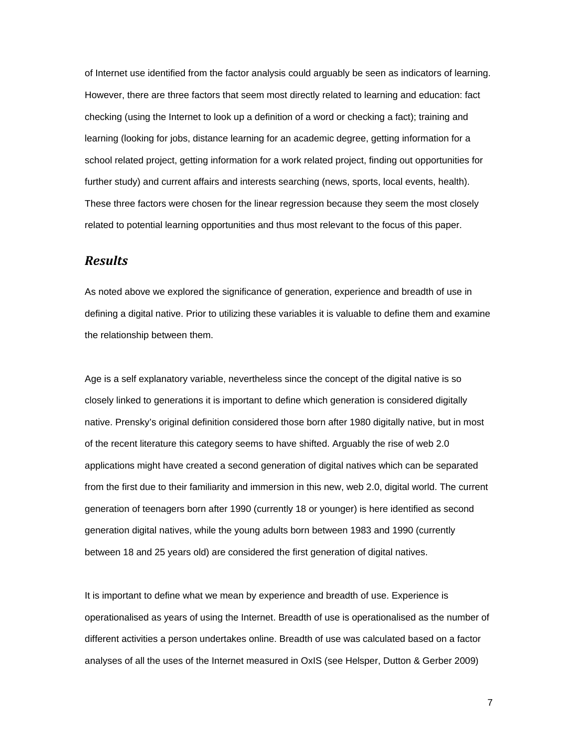of Internet use identified from the factor analysis could arguably be seen as indicators of learning. However, there are three factors that seem most directly related to learning and education: fact checking (using the Internet to look up a definition of a word or checking a fact); training and learning (looking for jobs, distance learning for an academic degree, getting information for a school related project, getting information for a work related project, finding out opportunities for further study) and current affairs and interests searching (news, sports, local events, health). These three factors were chosen for the linear regression because they seem the most closely related to potential learning opportunities and thus most relevant to the focus of this paper.

# *Results*

As noted above we explored the significance of generation, experience and breadth of use in defining a digital native. Prior to utilizing these variables it is valuable to define them and examine the relationship between them.

Age is a self explanatory variable, nevertheless since the concept of the digital native is so closely linked to generations it is important to define which generation is considered digitally native. Prensky's original definition considered those born after 1980 digitally native, but in most of the recent literature this category seems to have shifted. Arguably the rise of web 2.0 applications might have created a second generation of digital natives which can be separated from the first due to their familiarity and immersion in this new, web 2.0, digital world. The current generation of teenagers born after 1990 (currently 18 or younger) is here identified as second generation digital natives, while the young adults born between 1983 and 1990 (currently between 18 and 25 years old) are considered the first generation of digital natives.

It is important to define what we mean by experience and breadth of use. Experience is operationalised as years of using the Internet. Breadth of use is operationalised as the number of different activities a person undertakes online. Breadth of use was calculated based on a factor analyses of all the uses of the Internet measured in OxIS (see Helsper, Dutton & Gerber 2009)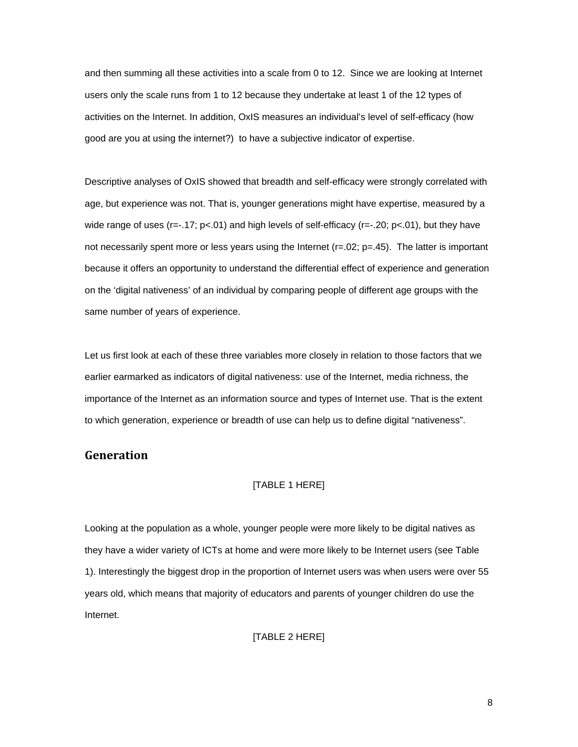and then summing all these activities into a scale from 0 to 12. Since we are looking at Internet users only the scale runs from 1 to 12 because they undertake at least 1 of the 12 types of activities on the Internet. In addition, OxIS measures an individual's level of self-efficacy (how good are you at using the internet?) to have a subjective indicator of expertise.

Descriptive analyses of OxIS showed that breadth and self-efficacy were strongly correlated with age, but experience was not. That is, younger generations might have expertise, measured by a wide range of uses ( $r=-.17$ ;  $p<-.01$ ) and high levels of self-efficacy ( $r=-.20$ ;  $p<-.01$ ), but they have not necessarily spent more or less years using the Internet ( $r = .02$ ;  $p = .45$ ). The latter is important because it offers an opportunity to understand the differential effect of experience and generation on the 'digital nativeness' of an individual by comparing people of different age groups with the same number of years of experience.

Let us first look at each of these three variables more closely in relation to those factors that we earlier earmarked as indicators of digital nativeness: use of the Internet, media richness, the importance of the Internet as an information source and types of Internet use. That is the extent to which generation, experience or breadth of use can help us to define digital "nativeness".

#### **Generation**

#### [TABLE 1 HERE]

Looking at the population as a whole, younger people were more likely to be digital natives as they have a wider variety of ICTs at home and were more likely to be Internet users (see Table 1). Interestingly the biggest drop in the proportion of Internet users was when users were over 55 years old, which means that majority of educators and parents of younger children do use the Internet.

[TABLE 2 HERE]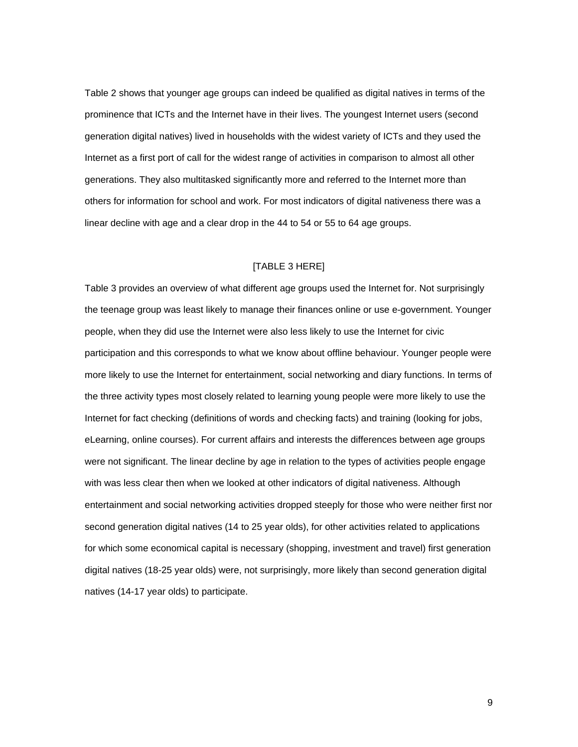Table 2 shows that younger age groups can indeed be qualified as digital natives in terms of the prominence that ICTs and the Internet have in their lives. The youngest Internet users (second generation digital natives) lived in households with the widest variety of ICTs and they used the Internet as a first port of call for the widest range of activities in comparison to almost all other generations. They also multitasked significantly more and referred to the Internet more than others for information for school and work. For most indicators of digital nativeness there was a linear decline with age and a clear drop in the 44 to 54 or 55 to 64 age groups.

#### [TABLE 3 HERE]

Table 3 provides an overview of what different age groups used the Internet for. Not surprisingly the teenage group was least likely to manage their finances online or use e-government. Younger people, when they did use the Internet were also less likely to use the Internet for civic participation and this corresponds to what we know about offline behaviour. Younger people were more likely to use the Internet for entertainment, social networking and diary functions. In terms of the three activity types most closely related to learning young people were more likely to use the Internet for fact checking (definitions of words and checking facts) and training (looking for jobs, eLearning, online courses). For current affairs and interests the differences between age groups were not significant. The linear decline by age in relation to the types of activities people engage with was less clear then when we looked at other indicators of digital nativeness. Although entertainment and social networking activities dropped steeply for those who were neither first nor second generation digital natives (14 to 25 year olds), for other activities related to applications for which some economical capital is necessary (shopping, investment and travel) first generation digital natives (18-25 year olds) were, not surprisingly, more likely than second generation digital natives (14-17 year olds) to participate.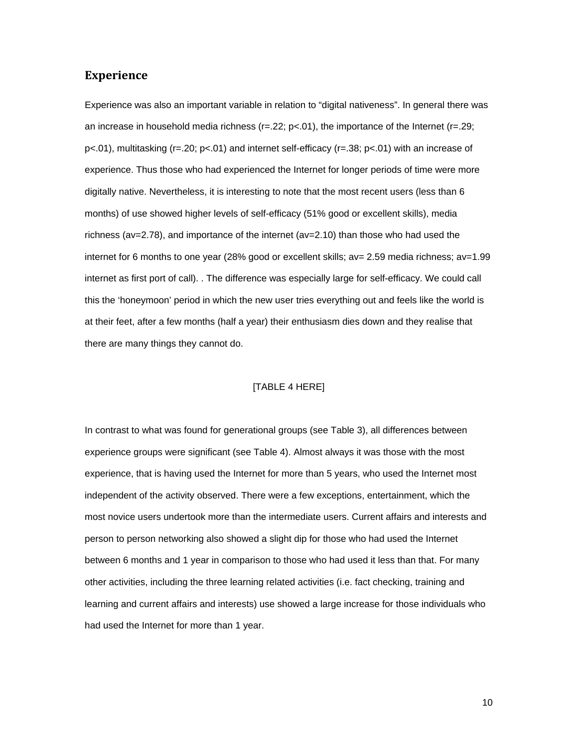## **Experience**

Experience was also an important variable in relation to "digital nativeness". In general there was an increase in household media richness ( $r = 0.22$ ;  $p < 0.01$ ), the importance of the Internet ( $r = 0.29$ ; p<.01), multitasking (r=.20; p<.01) and internet self-efficacy (r=.38; p<.01) with an increase of experience. Thus those who had experienced the Internet for longer periods of time were more digitally native. Nevertheless, it is interesting to note that the most recent users (less than 6 months) of use showed higher levels of self-efficacy (51% good or excellent skills), media richness (av=2.78), and importance of the internet (av=2.10) than those who had used the internet for 6 months to one year (28% good or excellent skills; av= 2.59 media richness; av=1.99 internet as first port of call). . The difference was especially large for self-efficacy. We could call this the 'honeymoon' period in which the new user tries everything out and feels like the world is at their feet, after a few months (half a year) their enthusiasm dies down and they realise that there are many things they cannot do.

#### [TABLE 4 HERE]

In contrast to what was found for generational groups (see Table 3), all differences between experience groups were significant (see Table 4). Almost always it was those with the most experience, that is having used the Internet for more than 5 years, who used the Internet most independent of the activity observed. There were a few exceptions, entertainment, which the most novice users undertook more than the intermediate users. Current affairs and interests and person to person networking also showed a slight dip for those who had used the Internet between 6 months and 1 year in comparison to those who had used it less than that. For many other activities, including the three learning related activities (i.e. fact checking, training and learning and current affairs and interests) use showed a large increase for those individuals who had used the Internet for more than 1 year.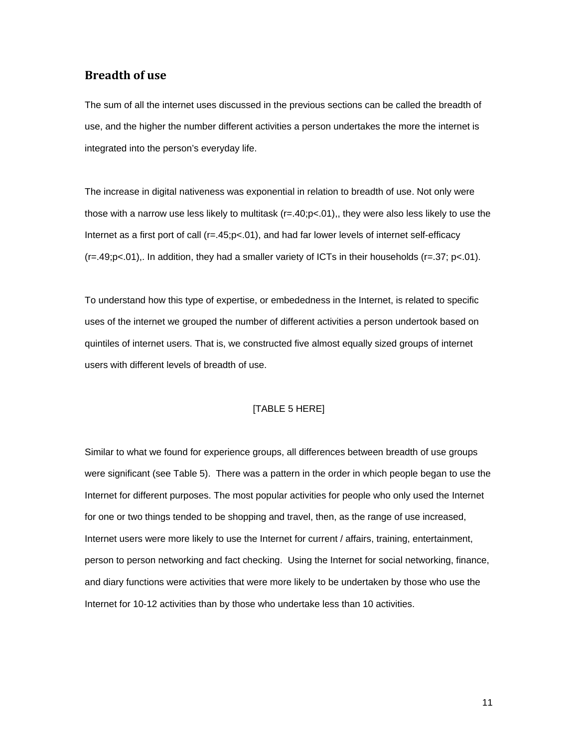# **Breadth of use**

The sum of all the internet uses discussed in the previous sections can be called the breadth of use, and the higher the number different activities a person undertakes the more the internet is integrated into the person's everyday life.

The increase in digital nativeness was exponential in relation to breadth of use. Not only were those with a narrow use less likely to multitask ( $r = .40$ ; $p < .01$ ),, they were also less likely to use the Internet as a first port of call ( $r=.45$ ; $p<.01$ ), and had far lower levels of internet self-efficacy  $(r=49;p<-01)$ ,. In addition, they had a smaller variety of ICTs in their households  $(r=.37; p<.01)$ .

To understand how this type of expertise, or embededness in the Internet, is related to specific uses of the internet we grouped the number of different activities a person undertook based on quintiles of internet users. That is, we constructed five almost equally sized groups of internet users with different levels of breadth of use.

#### [TABLE 5 HERE]

Similar to what we found for experience groups, all differences between breadth of use groups were significant (see Table 5). There was a pattern in the order in which people began to use the Internet for different purposes. The most popular activities for people who only used the Internet for one or two things tended to be shopping and travel, then, as the range of use increased, Internet users were more likely to use the Internet for current / affairs, training, entertainment, person to person networking and fact checking. Using the Internet for social networking, finance, and diary functions were activities that were more likely to be undertaken by those who use the Internet for 10-12 activities than by those who undertake less than 10 activities.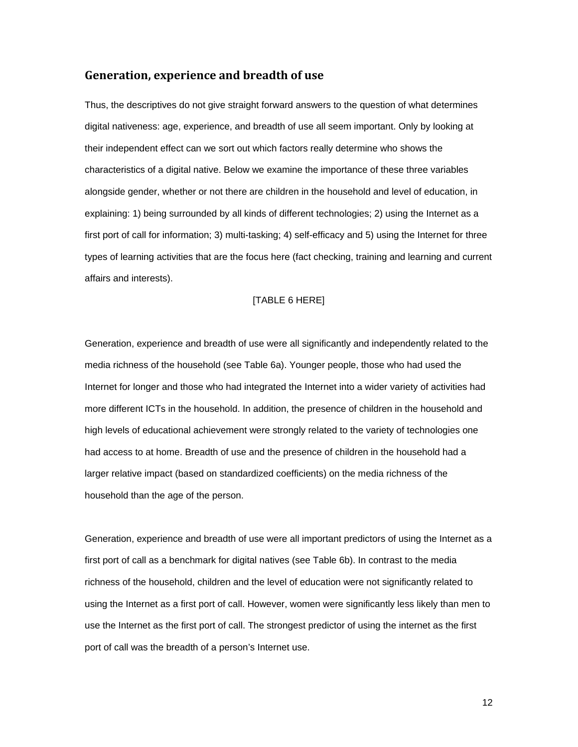## **Generation, experience and breadth of use**

Thus, the descriptives do not give straight forward answers to the question of what determines digital nativeness: age, experience, and breadth of use all seem important. Only by looking at their independent effect can we sort out which factors really determine who shows the characteristics of a digital native. Below we examine the importance of these three variables alongside gender, whether or not there are children in the household and level of education, in explaining: 1) being surrounded by all kinds of different technologies; 2) using the Internet as a first port of call for information; 3) multi-tasking; 4) self-efficacy and 5) using the Internet for three types of learning activities that are the focus here (fact checking, training and learning and current affairs and interests).

#### [TABLE 6 HERE]

Generation, experience and breadth of use were all significantly and independently related to the media richness of the household (see Table 6a). Younger people, those who had used the Internet for longer and those who had integrated the Internet into a wider variety of activities had more different ICTs in the household. In addition, the presence of children in the household and high levels of educational achievement were strongly related to the variety of technologies one had access to at home. Breadth of use and the presence of children in the household had a larger relative impact (based on standardized coefficients) on the media richness of the household than the age of the person.

Generation, experience and breadth of use were all important predictors of using the Internet as a first port of call as a benchmark for digital natives (see Table 6b). In contrast to the media richness of the household, children and the level of education were not significantly related to using the Internet as a first port of call. However, women were significantly less likely than men to use the Internet as the first port of call. The strongest predictor of using the internet as the first port of call was the breadth of a person's Internet use.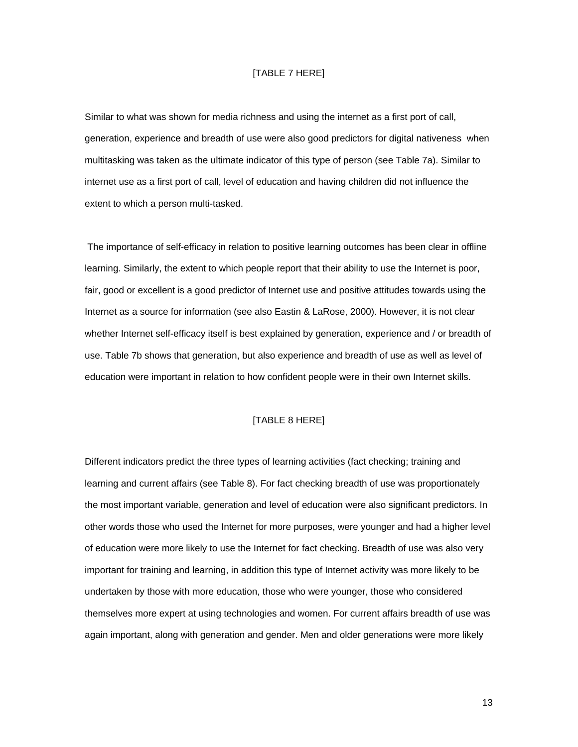#### [TABLE 7 HERE]

Similar to what was shown for media richness and using the internet as a first port of call, generation, experience and breadth of use were also good predictors for digital nativeness when multitasking was taken as the ultimate indicator of this type of person (see Table 7a). Similar to internet use as a first port of call, level of education and having children did not influence the extent to which a person multi-tasked.

 The importance of self-efficacy in relation to positive learning outcomes has been clear in offline learning. Similarly, the extent to which people report that their ability to use the Internet is poor, fair, good or excellent is a good predictor of Internet use and positive attitudes towards using the Internet as a source for information (see also Eastin & LaRose, 2000). However, it is not clear whether Internet self-efficacy itself is best explained by generation, experience and / or breadth of use. Table 7b shows that generation, but also experience and breadth of use as well as level of education were important in relation to how confident people were in their own Internet skills.

#### [TABLE 8 HERE]

Different indicators predict the three types of learning activities (fact checking; training and learning and current affairs (see Table 8). For fact checking breadth of use was proportionately the most important variable, generation and level of education were also significant predictors. In other words those who used the Internet for more purposes, were younger and had a higher level of education were more likely to use the Internet for fact checking. Breadth of use was also very important for training and learning, in addition this type of Internet activity was more likely to be undertaken by those with more education, those who were younger, those who considered themselves more expert at using technologies and women. For current affairs breadth of use was again important, along with generation and gender. Men and older generations were more likely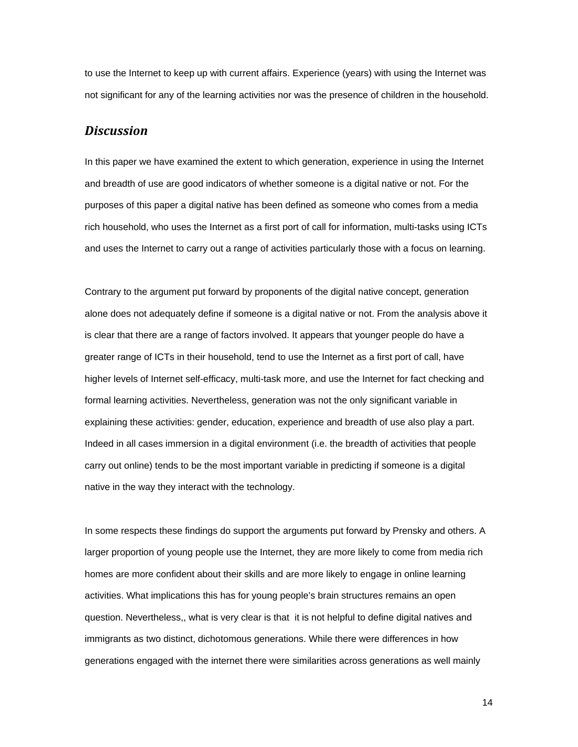to use the Internet to keep up with current affairs. Experience (years) with using the Internet was not significant for any of the learning activities nor was the presence of children in the household.

# *Discussion*

In this paper we have examined the extent to which generation, experience in using the Internet and breadth of use are good indicators of whether someone is a digital native or not. For the purposes of this paper a digital native has been defined as someone who comes from a media rich household, who uses the Internet as a first port of call for information, multi-tasks using ICTs and uses the Internet to carry out a range of activities particularly those with a focus on learning.

Contrary to the argument put forward by proponents of the digital native concept, generation alone does not adequately define if someone is a digital native or not. From the analysis above it is clear that there are a range of factors involved. It appears that younger people do have a greater range of ICTs in their household, tend to use the Internet as a first port of call, have higher levels of Internet self-efficacy, multi-task more, and use the Internet for fact checking and formal learning activities. Nevertheless, generation was not the only significant variable in explaining these activities: gender, education, experience and breadth of use also play a part. Indeed in all cases immersion in a digital environment (i.e. the breadth of activities that people carry out online) tends to be the most important variable in predicting if someone is a digital native in the way they interact with the technology.

In some respects these findings do support the arguments put forward by Prensky and others. A larger proportion of young people use the Internet, they are more likely to come from media rich homes are more confident about their skills and are more likely to engage in online learning activities. What implications this has for young people's brain structures remains an open question. Nevertheless,, what is very clear is that it is not helpful to define digital natives and immigrants as two distinct, dichotomous generations. While there were differences in how generations engaged with the internet there were similarities across generations as well mainly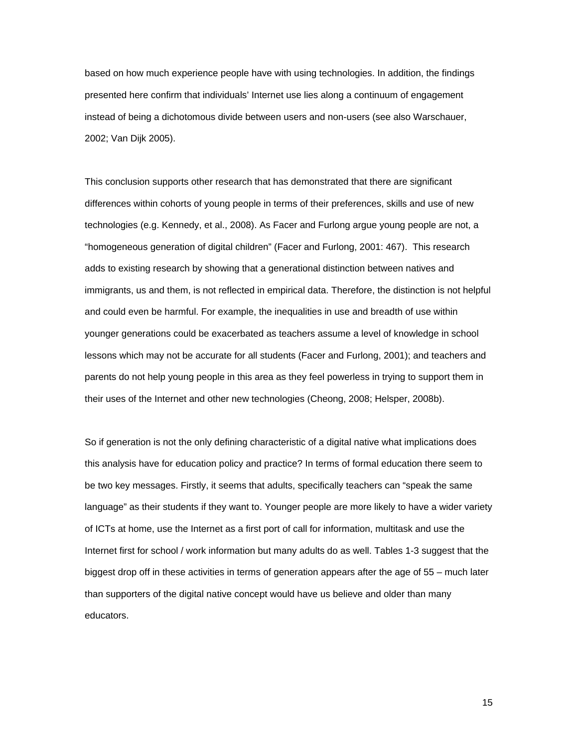based on how much experience people have with using technologies. In addition, the findings presented here confirm that individuals' Internet use lies along a continuum of engagement instead of being a dichotomous divide between users and non-users (see also Warschauer, 2002; Van Dijk 2005).

This conclusion supports other research that has demonstrated that there are significant differences within cohorts of young people in terms of their preferences, skills and use of new technologies (e.g. Kennedy, et al., 2008). As Facer and Furlong argue young people are not, a "homogeneous generation of digital children" (Facer and Furlong, 2001: 467). This research adds to existing research by showing that a generational distinction between natives and immigrants, us and them, is not reflected in empirical data. Therefore, the distinction is not helpful and could even be harmful. For example, the inequalities in use and breadth of use within younger generations could be exacerbated as teachers assume a level of knowledge in school lessons which may not be accurate for all students (Facer and Furlong, 2001); and teachers and parents do not help young people in this area as they feel powerless in trying to support them in their uses of the Internet and other new technologies (Cheong, 2008; Helsper, 2008b).

So if generation is not the only defining characteristic of a digital native what implications does this analysis have for education policy and practice? In terms of formal education there seem to be two key messages. Firstly, it seems that adults, specifically teachers can "speak the same language" as their students if they want to. Younger people are more likely to have a wider variety of ICTs at home, use the Internet as a first port of call for information, multitask and use the Internet first for school / work information but many adults do as well. Tables 1-3 suggest that the biggest drop off in these activities in terms of generation appears after the age of 55 – much later than supporters of the digital native concept would have us believe and older than many educators.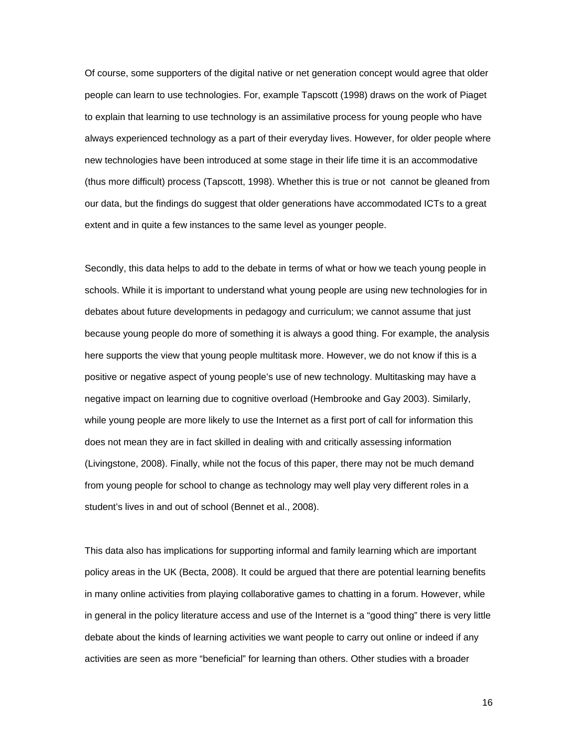Of course, some supporters of the digital native or net generation concept would agree that older people can learn to use technologies. For, example Tapscott (1998) draws on the work of Piaget to explain that learning to use technology is an assimilative process for young people who have always experienced technology as a part of their everyday lives. However, for older people where new technologies have been introduced at some stage in their life time it is an accommodative (thus more difficult) process (Tapscott, 1998). Whether this is true or not cannot be gleaned from our data, but the findings do suggest that older generations have accommodated ICTs to a great extent and in quite a few instances to the same level as younger people.

Secondly, this data helps to add to the debate in terms of what or how we teach young people in schools. While it is important to understand what young people are using new technologies for in debates about future developments in pedagogy and curriculum; we cannot assume that just because young people do more of something it is always a good thing. For example, the analysis here supports the view that young people multitask more. However, we do not know if this is a positive or negative aspect of young people's use of new technology. Multitasking may have a negative impact on learning due to cognitive overload (Hembrooke and Gay 2003). Similarly, while young people are more likely to use the Internet as a first port of call for information this does not mean they are in fact skilled in dealing with and critically assessing information (Livingstone, 2008). Finally, while not the focus of this paper, there may not be much demand from young people for school to change as technology may well play very different roles in a student's lives in and out of school (Bennet et al., 2008).

This data also has implications for supporting informal and family learning which are important policy areas in the UK (Becta, 2008). It could be argued that there are potential learning benefits in many online activities from playing collaborative games to chatting in a forum. However, while in general in the policy literature access and use of the Internet is a "good thing" there is very little debate about the kinds of learning activities we want people to carry out online or indeed if any activities are seen as more "beneficial" for learning than others. Other studies with a broader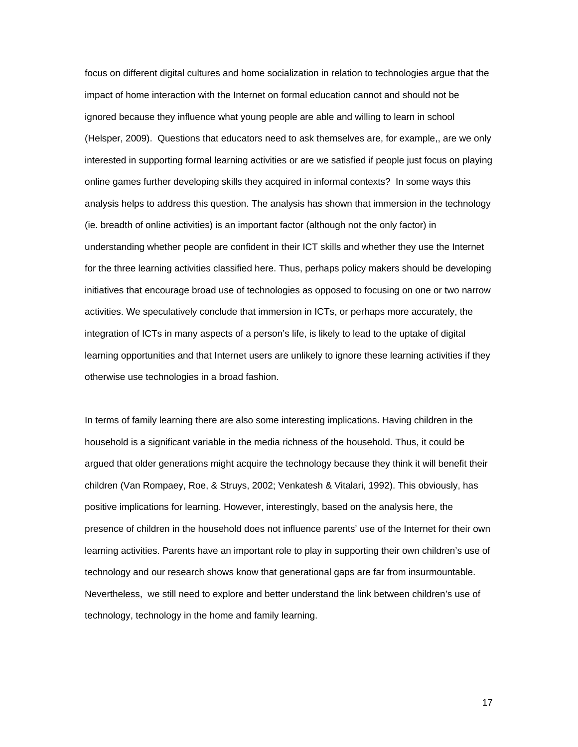focus on different digital cultures and home socialization in relation to technologies argue that the impact of home interaction with the Internet on formal education cannot and should not be ignored because they influence what young people are able and willing to learn in school (Helsper, 2009). Questions that educators need to ask themselves are, for example,, are we only interested in supporting formal learning activities or are we satisfied if people just focus on playing online games further developing skills they acquired in informal contexts? In some ways this analysis helps to address this question. The analysis has shown that immersion in the technology (ie. breadth of online activities) is an important factor (although not the only factor) in understanding whether people are confident in their ICT skills and whether they use the Internet for the three learning activities classified here. Thus, perhaps policy makers should be developing initiatives that encourage broad use of technologies as opposed to focusing on one or two narrow activities. We speculatively conclude that immersion in ICTs, or perhaps more accurately, the integration of ICTs in many aspects of a person's life, is likely to lead to the uptake of digital learning opportunities and that Internet users are unlikely to ignore these learning activities if they otherwise use technologies in a broad fashion.

In terms of family learning there are also some interesting implications. Having children in the household is a significant variable in the media richness of the household. Thus, it could be argued that older generations might acquire the technology because they think it will benefit their children (Van Rompaey, Roe, & Struys, 2002; Venkatesh & Vitalari, 1992). This obviously, has positive implications for learning. However, interestingly, based on the analysis here, the presence of children in the household does not influence parents' use of the Internet for their own learning activities. Parents have an important role to play in supporting their own children's use of technology and our research shows know that generational gaps are far from insurmountable. Nevertheless, we still need to explore and better understand the link between children's use of technology, technology in the home and family learning.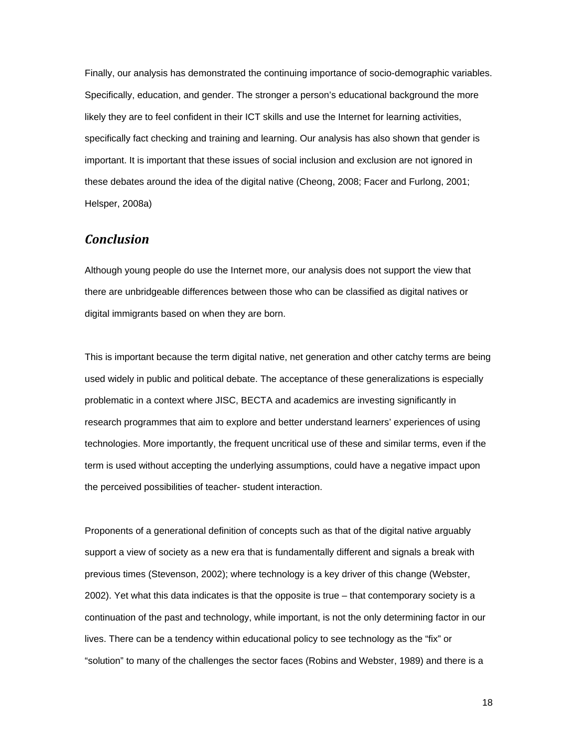Finally, our analysis has demonstrated the continuing importance of socio-demographic variables. Specifically, education, and gender. The stronger a person's educational background the more likely they are to feel confident in their ICT skills and use the Internet for learning activities, specifically fact checking and training and learning. Our analysis has also shown that gender is important. It is important that these issues of social inclusion and exclusion are not ignored in these debates around the idea of the digital native (Cheong, 2008; Facer and Furlong, 2001; Helsper, 2008a)

# *Conclusion*

Although young people do use the Internet more, our analysis does not support the view that there are unbridgeable differences between those who can be classified as digital natives or digital immigrants based on when they are born.

This is important because the term digital native, net generation and other catchy terms are being used widely in public and political debate. The acceptance of these generalizations is especially problematic in a context where JISC, BECTA and academics are investing significantly in research programmes that aim to explore and better understand learners' experiences of using technologies. More importantly, the frequent uncritical use of these and similar terms, even if the term is used without accepting the underlying assumptions, could have a negative impact upon the perceived possibilities of teacher- student interaction.

Proponents of a generational definition of concepts such as that of the digital native arguably support a view of society as a new era that is fundamentally different and signals a break with previous times (Stevenson, 2002); where technology is a key driver of this change (Webster, 2002). Yet what this data indicates is that the opposite is true – that contemporary society is a continuation of the past and technology, while important, is not the only determining factor in our lives. There can be a tendency within educational policy to see technology as the "fix" or "solution" to many of the challenges the sector faces (Robins and Webster, 1989) and there is a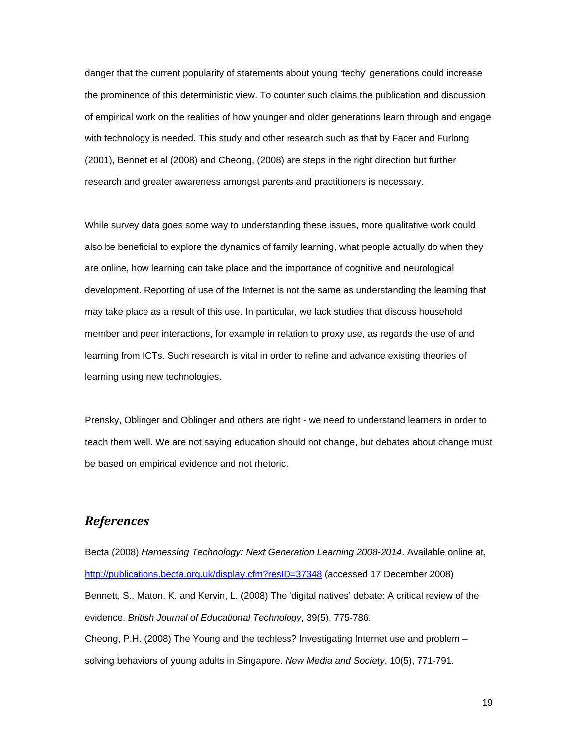danger that the current popularity of statements about young 'techy' generations could increase the prominence of this deterministic view. To counter such claims the publication and discussion of empirical work on the realities of how younger and older generations learn through and engage with technology is needed. This study and other research such as that by Facer and Furlong (2001), Bennet et al (2008) and Cheong, (2008) are steps in the right direction but further research and greater awareness amongst parents and practitioners is necessary.

While survey data goes some way to understanding these issues, more qualitative work could also be beneficial to explore the dynamics of family learning, what people actually do when they are online, how learning can take place and the importance of cognitive and neurological development. Reporting of use of the Internet is not the same as understanding the learning that may take place as a result of this use. In particular, we lack studies that discuss household member and peer interactions, for example in relation to proxy use, as regards the use of and learning from ICTs. Such research is vital in order to refine and advance existing theories of learning using new technologies.

Prensky, Oblinger and Oblinger and others are right - we need to understand learners in order to teach them well. We are not saying education should not change, but debates about change must be based on empirical evidence and not rhetoric.

# *References*

Becta (2008) *Harnessing Technology: Next Generation Learning 2008-2014*. Available online at, <http://publications.becta.org.uk/display.cfm?resID=37348> (accessed 17 December 2008) Bennett, S., Maton, K. and Kervin, L. (2008) The 'digital natives' debate: A critical review of the evidence. *British Journal of Educational Technology*, 39(5), 775-786. Cheong, P.H. (2008) The Young and the techless? Investigating Internet use and problem – solving behaviors of young adults in Singapore. *New Media and Society*, 10(5), 771-791.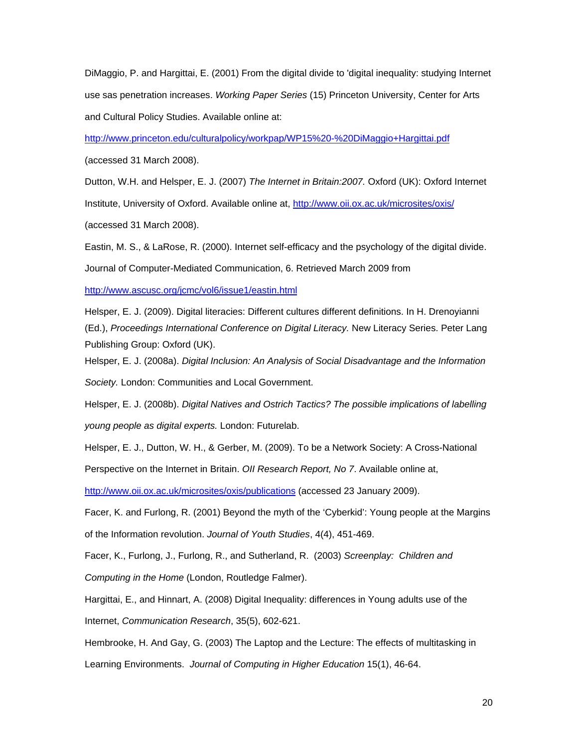DiMaggio, P. and Hargittai, E. (2001) From the digital divide to 'digital inequality: studying Internet use sas penetration increases. *Working Paper Series* (15) Princeton University, Center for Arts and Cultural Policy Studies. Available online at:

<http://www.princeton.edu/culturalpolicy/workpap/WP15%20-%20DiMaggio+Hargittai.pdf>

(accessed 31 March 2008).

Dutton, W.H. and Helsper, E. J. (2007) *The Internet in Britain:2007.* Oxford (UK): Oxford Internet Institute, University of Oxford. Available online at, <http://www.oii.ox.ac.uk/microsites/oxis/>

(accessed 31 March 2008).

Eastin, M. S., & LaRose, R. (2000). Internet self-efficacy and the psychology of the digital divide. Journal of Computer-Mediated Communication, 6. Retrieved March 2009 from

<http://www.ascusc.org/jcmc/vol6/issue1/eastin.html>

Helsper, E. J. (2009). Digital literacies: Different cultures different definitions. In H. Drenoyianni (Ed.), *Proceedings International Conference on Digital Literacy.* New Literacy Series. Peter Lang Publishing Group: Oxford (UK).

Helsper, E. J. (2008a). *Digital Inclusion: An Analysis of Social Disadvantage and the Information Society.* London: Communities and Local Government.

Helsper, E. J. (2008b). *Digital Natives and Ostrich Tactics? The possible implications of labelling young people as digital experts.* London: Futurelab.

Helsper, E. J., Dutton, W. H., & Gerber, M. (2009). To be a Network Society: A Cross-National

Perspective on the Internet in Britain. *OII Research Report, No 7*. Available online at,

<http://www.oii.ox.ac.uk/microsites/oxis/publications> (accessed 23 January 2009).

Facer, K. and Furlong, R. (2001) Beyond the myth of the 'Cyberkid': Young people at the Margins of the Information revolution. *Journal of Youth Studies*, 4(4), 451-469.

Facer, K., Furlong, J., Furlong, R., and Sutherland, R. (2003) *Screenplay: Children and Computing in the Home* (London, Routledge Falmer).

Hargittai, E., and Hinnart, A. (2008) Digital Inequality: differences in Young adults use of the

Internet, *Communication Research*, 35(5), 602-621.

Hembrooke, H. And Gay, G. (2003) The Laptop and the Lecture: The effects of multitasking in Learning Environments. *Journal of Computing in Higher Education* 15(1), 46-64.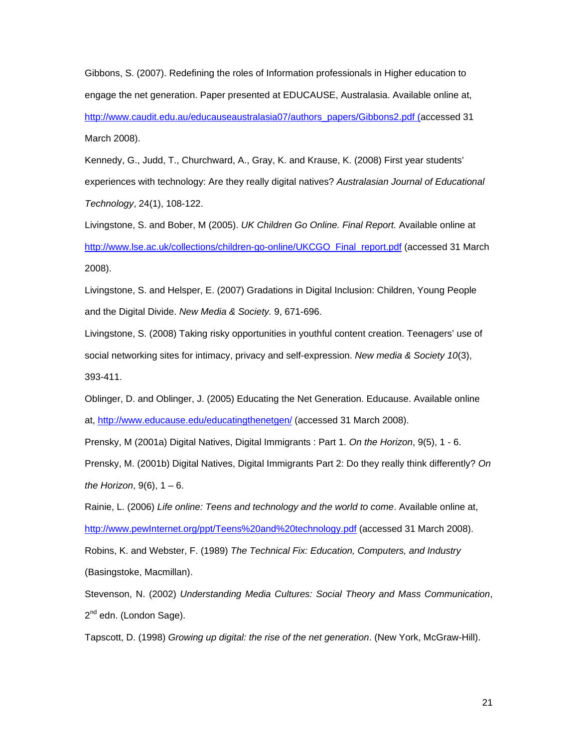Gibbons, S. (2007). Redefining the roles of Information professionals in Higher education to engage the net generation. Paper presented at EDUCAUSE, Australasia. Available online at, [http://www.caudit.edu.au/educauseaustralasia07/authors\\_papers/Gibbons2.pdf \(accessed 31](http://www.caudit.edu.au/educauseaustralasia07/authors_papers/Gibbons2.pdf%20()  [March 2008\).](http://www.caudit.edu.au/educauseaustralasia07/authors_papers/Gibbons2.pdf%20()

Kennedy, G., Judd, T., Churchward, A., Gray, K. and Krause, K. (2008) First year students' experiences with technology: Are they really digital natives? *Australasian Journal of Educational Technology*, 24(1), 108-122.

Livingstone, S. and Bober, M (2005). *UK Children Go Online. Final Report.* Available online at [http://www.lse.ac.uk/collections/children-go-online/UKCGO\\_Final\\_report.pdf](http://www.lse.ac.uk/collections/children-go-online/UKCGO_Final_report.pdf) (accessed 31 March 2008).

Livingstone, S. and Helsper, E. (2007) Gradations in Digital Inclusion: Children, Young People and the Digital Divide. *New Media & Society.* 9, 671-696.

Livingstone, S. (2008) Taking risky opportunities in youthful content creation. Teenagers' use of social networking sites for intimacy, privacy and self-expression. *New media & Society 10*(3), 393-411.

Oblinger, D. and Oblinger, J. (2005) Educating the Net Generation. Educause. Available online at, <http://www.educause.edu/educatingthenetgen/>(accessed 31 March 2008).

Prensky, M (2001a) Digital Natives, Digital Immigrants : Part 1. *On the Horizon*, 9(5), 1 - 6.

Prensky, M. (2001b) Digital Natives, Digital Immigrants Part 2: Do they really think differently? *On the Horizon*, 9(6), 1 – 6.

Rainie, L. (2006) *Life online: Teens and technology and the world to come*. Available online at, [http://www.pewInternet.org/ppt/Teens%20and%20technology.pdf](http://www.pewinternet.org/ppt/Teens%20and%20technology.pdf) (accessed 31 March 2008). Robins, K. and Webster, F. (1989) *The Technical Fix: Education, Computers, and Industry* (Basingstoke, Macmillan).

Stevenson, N. (2002) *Understanding Media Cultures: Social Theory and Mass Communication*, 2<sup>nd</sup> edn. (London Sage).

Tapscott, D. (1998) *Growing up digital: the rise of the net generation*. (New York, McGraw-Hill).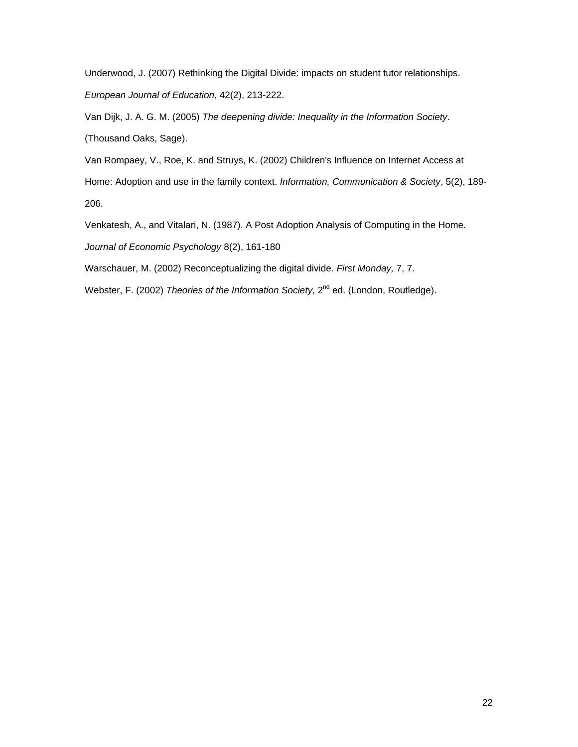Underwood, J. (2007) Rethinking the Digital Divide: impacts on student tutor relationships. *European Journal of Education*, 42(2), 213-222.

Van Dijk, J. A. G. M. (2005) *The deepening divide: Inequality in the Information Society*. (Thousand Oaks, Sage).

Van Rompaey, V., Roe, K. and Struys, K. (2002) Children's Influence on Internet Access at Home: Adoption and use in the family context. *Information, Communication & Society*, 5(2), 189- 206.

Venkatesh, A., and Vitalari, N. (1987). A Post Adoption Analysis of Computing in the Home.

*Journal of Economic Psychology* 8(2), 161-180

Warschauer, M. (2002) Reconceptualizing the digital divide. *First Monday,* 7, 7.

Webster, F. (2002) *Theories of the Information Society*, 2<sup>nd</sup> ed. (London, Routledge).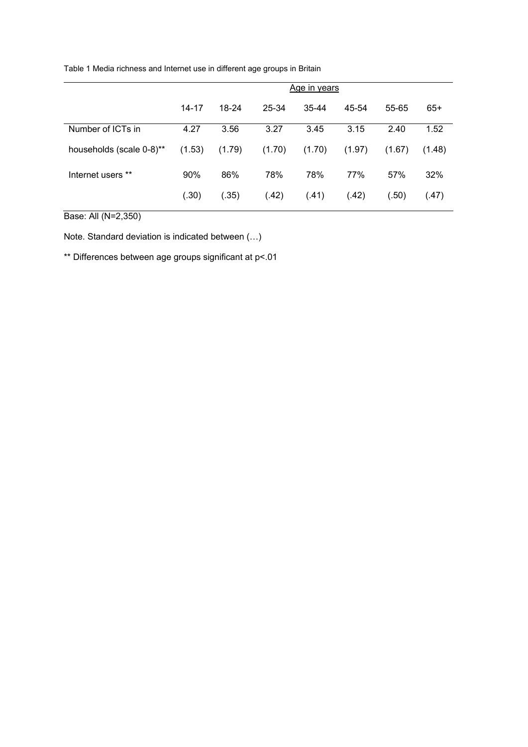| Table 1 Media richness and Internet use in different age groups in Britain |  |  |  |
|----------------------------------------------------------------------------|--|--|--|
|----------------------------------------------------------------------------|--|--|--|

|                          | Age in years |        |        |           |        |        |        |  |  |
|--------------------------|--------------|--------|--------|-----------|--------|--------|--------|--|--|
|                          | 14-17        | 18-24  | 25-34  | $35 - 44$ | 45-54  | 55-65  | $65+$  |  |  |
| Number of ICTs in        | 4.27         | 3.56   | 3.27   | 3.45      | 3.15   | 2.40   | 1.52   |  |  |
| households (scale 0-8)** | (1.53)       | (1.79) | (1.70) | (1.70)    | (1.97) | (1.67) | (1.48) |  |  |
| Internet users **        | 90%          | 86%    | 78%    | 78%       | 77%    | 57%    | 32%    |  |  |
|                          | (.30)        | (.35)  | (.42)  | (.41)     | (.42)  | (.50)  | (.47)  |  |  |

Base: All (N=2,350)

Note. Standard deviation is indicated between (…)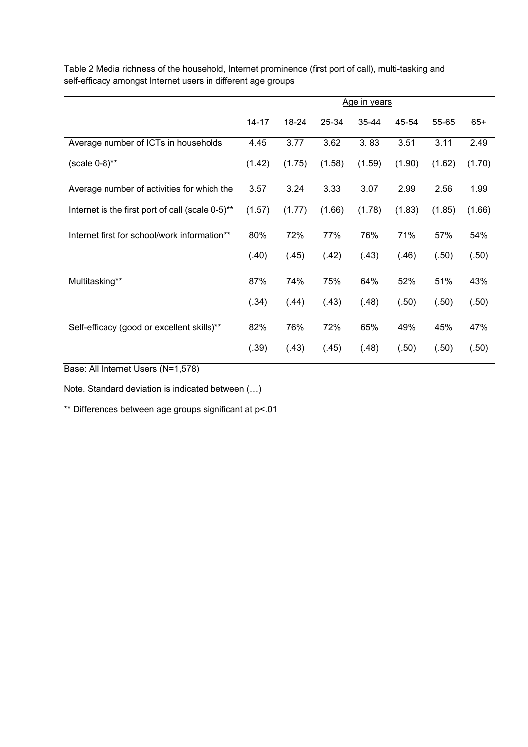|                                                  | Age in years |        |        |        |        |        |        |
|--------------------------------------------------|--------------|--------|--------|--------|--------|--------|--------|
|                                                  | $14 - 17$    | 18-24  | 25-34  | 35-44  | 45-54  | 55-65  | $65+$  |
| Average number of ICTs in households             | 4.45         | 3.77   | 3.62   | 3.83   | 3.51   | 3.11   | 2.49   |
| $(scale 0-8)$ **                                 | (1.42)       | (1.75) | (1.58) | (1.59) | (1.90) | (1.62) | (1.70) |
| Average number of activities for which the       | 3.57         | 3.24   | 3.33   | 3.07   | 2.99   | 2.56   | 1.99   |
| Internet is the first port of call (scale 0-5)** | (1.57)       | (1.77) | (1.66) | (1.78) | (1.83) | (1.85) | (1.66) |
| Internet first for school/work information**     | 80%          | 72%    | 77%    | 76%    | 71%    | 57%    | 54%    |
|                                                  | (.40)        | (.45)  | (.42)  | (.43)  | (.46)  | (.50)  | (.50)  |
| Multitasking**                                   | 87%          | 74%    | 75%    | 64%    | 52%    | 51%    | 43%    |
|                                                  | (.34)        | (.44)  | (.43)  | (.48)  | (.50)  | (.50)  | (.50)  |
| Self-efficacy (good or excellent skills)**       | 82%          | 76%    | 72%    | 65%    | 49%    | 45%    | 47%    |
|                                                  | (.39)        | (.43)  | (.45)  | (.48)  | (.50)  | (.50)  | (.50)  |

Table 2 Media richness of the household, Internet prominence (first port of call), multi-tasking and self-efficacy amongst Internet users in different age groups

Base: All Internet Users (N=1,578)

Note. Standard deviation is indicated between (…)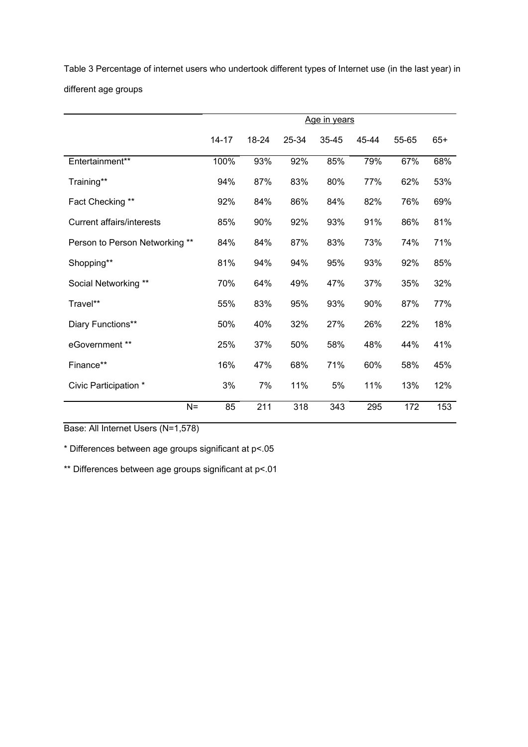Table 3 Percentage of internet users who undertook different types of Internet use (in the last year) in different age groups

|                                  | Age in years |       |       |           |       |       |       |
|----------------------------------|--------------|-------|-------|-----------|-------|-------|-------|
|                                  | 14-17        | 18-24 | 25-34 | $35 - 45$ | 45-44 | 55-65 | $65+$ |
| Entertainment**                  | 100%         | 93%   | 92%   | 85%       | 79%   | 67%   | 68%   |
| Training**                       | 94%          | 87%   | 83%   | 80%       | 77%   | 62%   | 53%   |
| Fact Checking **                 | 92%          | 84%   | 86%   | 84%       | 82%   | 76%   | 69%   |
| <b>Current affairs/interests</b> | 85%          | 90%   | 92%   | 93%       | 91%   | 86%   | 81%   |
| Person to Person Networking **   | 84%          | 84%   | 87%   | 83%       | 73%   | 74%   | 71%   |
| Shopping**                       | 81%          | 94%   | 94%   | 95%       | 93%   | 92%   | 85%   |
| Social Networking **             | 70%          | 64%   | 49%   | 47%       | 37%   | 35%   | 32%   |
| Travel**                         | 55%          | 83%   | 95%   | 93%       | 90%   | 87%   | 77%   |
| Diary Functions**                | 50%          | 40%   | 32%   | 27%       | 26%   | 22%   | 18%   |
| eGovernment **                   | 25%          | 37%   | 50%   | 58%       | 48%   | 44%   | 41%   |
| Finance**                        | 16%          | 47%   | 68%   | 71%       | 60%   | 58%   | 45%   |
| Civic Participation *            | 3%           | 7%    | 11%   | 5%        | 11%   | 13%   | 12%   |
| $N =$                            | 85           | 211   | 318   | 343       | 295   | 172   | 153   |

Base: All Internet Users (N=1,578)

\* Differences between age groups significant at p<.05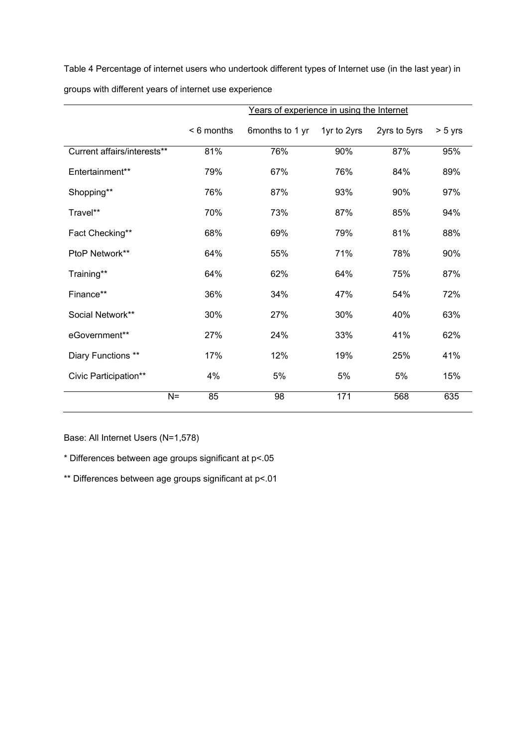Table 4 Percentage of internet users who undertook different types of Internet use (in the last year) in groups with different years of internet use experience

|                             |              | Years of experience in using the Internet |             |              |           |  |  |  |  |
|-----------------------------|--------------|-------------------------------------------|-------------|--------------|-----------|--|--|--|--|
|                             | $< 6$ months | 6months to 1 yr                           | 1yr to 2yrs | 2yrs to 5yrs | $> 5$ yrs |  |  |  |  |
| Current affairs/interests** | 81%          | 76%                                       | 90%         | 87%          | 95%       |  |  |  |  |
| Entertainment**             | 79%          | 67%                                       | 76%         | 84%          | 89%       |  |  |  |  |
| Shopping**                  | 76%          | 87%                                       | 93%         | 90%          | 97%       |  |  |  |  |
| Travel**                    | 70%          | 73%                                       | 87%         | 85%          | 94%       |  |  |  |  |
| Fact Checking**             | 68%          | 69%                                       | 79%         | 81%          | 88%       |  |  |  |  |
| PtoP Network**              | 64%          | 55%                                       | 71%         | 78%          | 90%       |  |  |  |  |
| Training**                  | 64%          | 62%                                       | 64%         | 75%          | 87%       |  |  |  |  |
| Finance**                   | 36%          | 34%                                       | 47%         | 54%          | 72%       |  |  |  |  |
| Social Network**            | 30%          | 27%                                       | 30%         | 40%          | 63%       |  |  |  |  |
| eGovernment**               | 27%          | 24%                                       | 33%         | 41%          | 62%       |  |  |  |  |
| Diary Functions **          | 17%          | 12%                                       | 19%         | 25%          | 41%       |  |  |  |  |
| Civic Participation**       | 4%           | 5%                                        | 5%          | 5%           | 15%       |  |  |  |  |
| $N =$                       | 85           | 98                                        | 171         | 568          | 635       |  |  |  |  |

Base: All Internet Users (N=1,578)

\* Differences between age groups significant at p<.05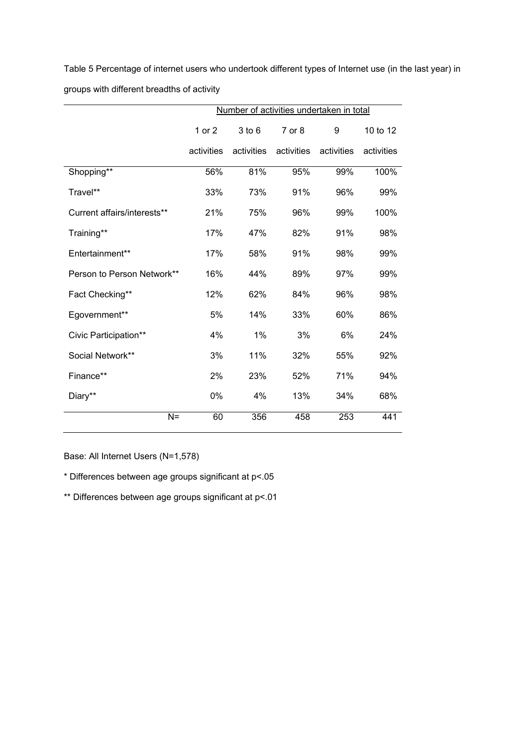Table 5 Percentage of internet users who undertook different types of Internet use (in the last year) in groups with different breadths of activity

|                             | Number of activities undertaken in total |            |            |            |            |  |  |
|-----------------------------|------------------------------------------|------------|------------|------------|------------|--|--|
|                             | 1 or 2                                   | $3$ to $6$ | 7 or 8     | 9          | 10 to 12   |  |  |
|                             | activities                               | activities | activities | activities | activities |  |  |
| Shopping**                  | 56%                                      | 81%        | 95%        | 99%        | 100%       |  |  |
| Travel**                    | 33%                                      | 73%        | 91%        | 96%        | 99%        |  |  |
| Current affairs/interests** | 21%                                      | 75%        | 96%        | 99%        | 100%       |  |  |
| Training**                  | 17%                                      | 47%        | 82%        | 91%        | 98%        |  |  |
| Entertainment**             | 17%                                      | 58%        | 91%        | 98%        | 99%        |  |  |
| Person to Person Network**  | 16%                                      | 44%        | 89%        | 97%        | 99%        |  |  |
| Fact Checking**             | 12%                                      | 62%        | 84%        | 96%        | 98%        |  |  |
| Egovernment**               | 5%                                       | 14%        | 33%        | 60%        | 86%        |  |  |
| Civic Participation**       | 4%                                       | 1%         | 3%         | 6%         | 24%        |  |  |
| Social Network**            | 3%                                       | 11%        | 32%        | 55%        | 92%        |  |  |
| Finance**                   | 2%                                       | 23%        | 52%        | 71%        | 94%        |  |  |
| Diary**                     | 0%                                       | 4%         | 13%        | 34%        | 68%        |  |  |
| $N =$                       | 60                                       | 356        | 458        | 253        | 441        |  |  |

Base: All Internet Users (N=1,578)

\* Differences between age groups significant at p<.05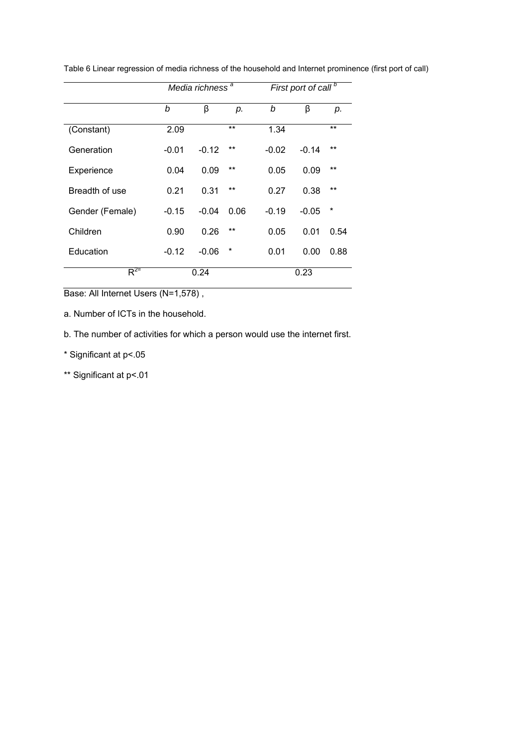|                     | Media richness <sup>a</sup> |         |        | First port of call <sup>b</sup> |         |              |  |
|---------------------|-----------------------------|---------|--------|---------------------------------|---------|--------------|--|
|                     | b                           | β       | р.     | b                               | β       | р.           |  |
| (Constant)          | 2.09                        |         | $***$  | 1.34                            |         | $\star\star$ |  |
| Generation          | $-0.01$                     | $-0.12$ | $***$  | $-0.02$                         | $-0.14$ | **           |  |
| Experience          | 0.04                        | 0.09    | **     | 0.05                            | 0.09    | $***$        |  |
| Breadth of use      | 0.21                        | 0.31    | $***$  | 0.27                            | 0.38    | $***$        |  |
| Gender (Female)     | $-0.15$                     | $-0.04$ | 0.06   | $-0.19$                         | $-0.05$ | *            |  |
| Children            | 0.90                        | 0.26    | $***$  | 0.05                            | 0.01    | 0.54         |  |
| Education           | $-0.12$                     | $-0.06$ | $\ast$ | 0.01                            | 0.00    | 0.88         |  |
| $R^{2\overline{z}}$ | 0.24                        |         |        | 0.23                            |         |              |  |

Table 6 Linear regression of media richness of the household and Internet prominence (first port of call)

Base: All Internet Users (N=1,578),

a. Number of ICTs in the household.

b. The number of activities for which a person would use the internet first.

\* Significant at p<.05

\*\* Significant at p<.01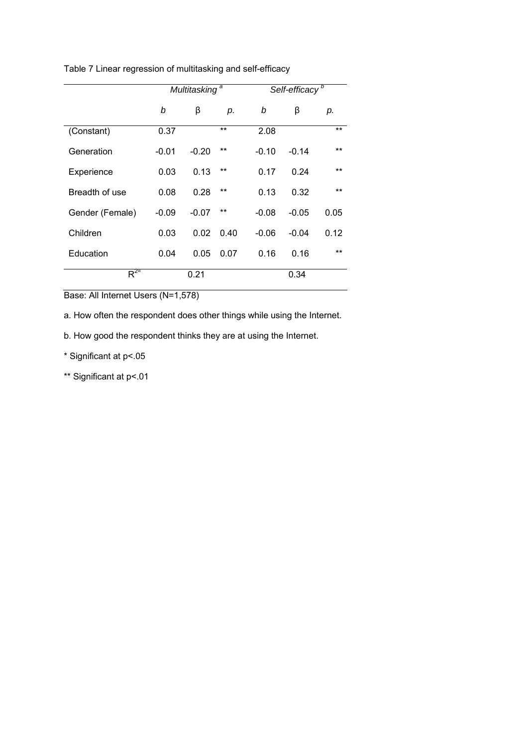|  | Table 7 Linear regression of multitasking and self-efficacy |  |  |
|--|-------------------------------------------------------------|--|--|
|--|-------------------------------------------------------------|--|--|

|                 | Multitasking <sup>a</sup> |         |       |         | Self-efficacy <sup>b</sup> |              |  |  |
|-----------------|---------------------------|---------|-------|---------|----------------------------|--------------|--|--|
|                 | b                         | β       | р.    | b       | β                          | р.           |  |  |
| (Constant)      | 0.37                      |         | $***$ | 2.08    |                            | $***$        |  |  |
| Generation      | $-0.01$                   | $-0.20$ | **    | $-0.10$ | $-0.14$                    | $***$        |  |  |
| Experience      | 0.03                      | 0.13    | **    | 0.17    | 0.24                       | $***$        |  |  |
| Breadth of use  | 0.08                      | 0.28    | $***$ | 0.13    | 0.32                       | $\star\star$ |  |  |
| Gender (Female) | $-0.09$                   | $-0.07$ | $***$ | $-0.08$ | $-0.05$                    | 0.05         |  |  |
| Children        | 0.03                      | 0.02    | 0.40  | $-0.06$ | $-0.04$                    | 0.12         |  |  |
| Education       | 0.04                      | 0.05    | 0.07  | 0.16    | 0.16                       | $***$        |  |  |
| $R^{2}$         |                           | 0.21    |       |         | 0.34                       |              |  |  |

Base: All Internet Users (N=1,578)

a. How often the respondent does other things while using the Internet.

b. How good the respondent thinks they are at using the Internet.

\* Significant at p<.05

\*\* Significant at p<.01